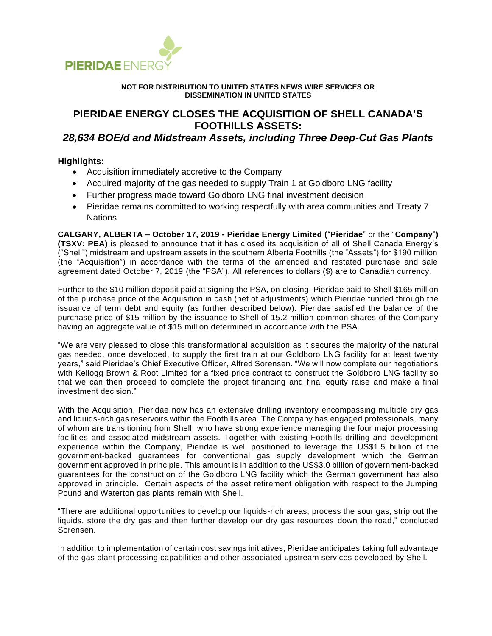

#### **NOT FOR DISTRIBUTION TO UNITED STATES NEWS WIRE SERVICES OR DISSEMINATION IN UNITED STATES**

# **PIERIDAE ENERGY CLOSES THE ACQUISITION OF SHELL CANADA'S FOOTHILLS ASSETS:**

# *28,634 BOE/d and Midstream Assets, including Three Deep-Cut Gas Plants*

# **Highlights:**

- Acquisition immediately accretive to the Company
- Acquired majority of the gas needed to supply Train 1 at Goldboro LNG facility
- Further progress made toward Goldboro LNG final investment decision
- Pieridae remains committed to working respectfully with area communities and Treaty 7 **Nations**

**CALGARY, ALBERTA – October 17, 2019 - Pieridae Energy Limited (**"**Pieridae**" or the "**Company**"**) (TSXV: PEA)** is pleased to announce that it has closed its acquisition of all of Shell Canada Energy's ("Shell") midstream and upstream assets in the southern Alberta Foothills (the "Assets") for \$190 million (the "Acquisition") in accordance with the terms of the amended and restated purchase and sale agreement dated October 7, 2019 (the "PSA"). All references to dollars (\$) are to Canadian currency.

Further to the \$10 million deposit paid at signing the PSA, on closing, Pieridae paid to Shell \$165 million of the purchase price of the Acquisition in cash (net of adjustments) which Pieridae funded through the issuance of term debt and equity (as further described below). Pieridae satisfied the balance of the purchase price of \$15 million by the issuance to Shell of 15.2 million common shares of the Company having an aggregate value of \$15 million determined in accordance with the PSA.

"We are very pleased to close this transformational acquisition as it secures the majority of the natural gas needed, once developed, to supply the first train at our Goldboro LNG facility for at least twenty years," said Pieridae's Chief Executive Officer, Alfred Sorensen. "We will now complete our negotiations with Kellogg Brown & Root Limited for a fixed price contract to construct the Goldboro LNG facility so that we can then proceed to complete the project financing and final equity raise and make a final investment decision."

With the Acquisition, Pieridae now has an extensive drilling inventory encompassing multiple dry gas and liquids-rich gas reservoirs within the Foothills area. The Company has engaged professionals, many of whom are transitioning from Shell, who have strong experience managing the four major processing facilities and associated midstream assets. Together with existing Foothills drilling and development experience within the Company, Pieridae is well positioned to leverage the US\$1.5 billion of the government-backed guarantees for conventional gas supply development which the German government approved in principle. This amount is in addition to the US\$3.0 billion of government-backed guarantees for the construction of the Goldboro LNG facility which the German government has also approved in principle. Certain aspects of the asset retirement obligation with respect to the Jumping Pound and Waterton gas plants remain with Shell.

"There are additional opportunities to develop our liquids-rich areas, process the sour gas, strip out the liquids, store the dry gas and then further develop our dry gas resources down the road," concluded Sorensen.

In addition to implementation of certain cost savings initiatives, Pieridae anticipates taking full advantage of the gas plant processing capabilities and other associated upstream services developed by Shell.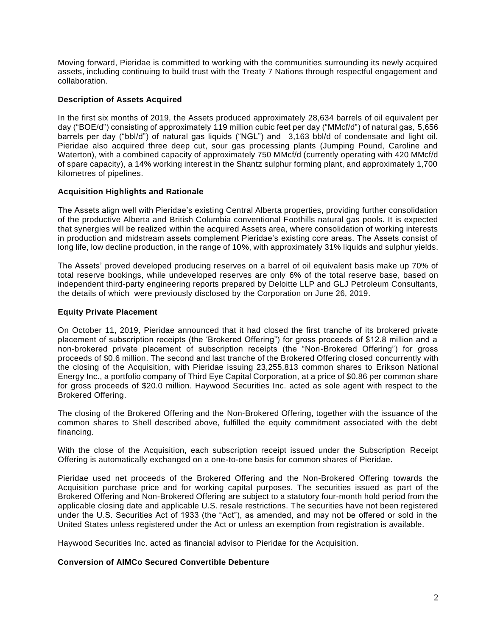Moving forward, Pieridae is committed to working with the communities surrounding its newly acquired assets, including continuing to build trust with the Treaty 7 Nations through respectful engagement and collaboration.

# **Description of Assets Acquired**

In the first six months of 2019, the Assets produced approximately 28,634 barrels of oil equivalent per day ("BOE/d") consisting of approximately 119 million cubic feet per day ("MMcf/d") of natural gas, 5,656 barrels per day ("bbl/d") of natural gas liquids ("NGL") and 3,163 bbl/d of condensate and light oil. Pieridae also acquired three deep cut, sour gas processing plants (Jumping Pound, Caroline and Waterton), with a combined capacity of approximately 750 MMcf/d (currently operating with 420 MMcf/d of spare capacity), a 14% working interest in the Shantz sulphur forming plant, and approximately 1,700 kilometres of pipelines.

# **Acquisition Highlights and Rationale**

The Assets align well with Pieridae's existing Central Alberta properties, providing further consolidation of the productive Alberta and British Columbia conventional Foothills natural gas pools. It is expected that synergies will be realized within the acquired Assets area, where consolidation of working interests in production and midstream assets complement Pieridae's existing core areas. The Assets consist of long life, low decline production, in the range of 10%, with approximately 31% liquids and sulphur yields.

The Assets' proved developed producing reserves on a barrel of oil equivalent basis make up 70% of total reserve bookings, while undeveloped reserves are only 6% of the total reserve base, based on independent third-party engineering reports prepared by Deloitte LLP and GLJ Petroleum Consultants, the details of which were previously disclosed by the Corporation on June 26, 2019.

# **Equity Private Placement**

On October 11, 2019, Pieridae announced that it had closed the first tranche of its brokered private placement of subscription receipts (the 'Brokered Offering") for gross proceeds of \$12.8 million and a non-brokered private placement of subscription receipts (the "Non-Brokered Offering") for gross proceeds of \$0.6 million. The second and last tranche of the Brokered Offering closed concurrently with the closing of the Acquisition, with Pieridae issuing 23,255,813 common shares to Erikson National Energy Inc., a portfolio company of Third Eye Capital Corporation, at a price of \$0.86 per common share for gross proceeds of \$20.0 million. Haywood Securities Inc. acted as sole agent with respect to the Brokered Offering.

The closing of the Brokered Offering and the Non-Brokered Offering, together with the issuance of the common shares to Shell described above, fulfilled the equity commitment associated with the debt financing.

With the close of the Acquisition, each subscription receipt issued under the Subscription Receipt Offering is automatically exchanged on a one-to-one basis for common shares of Pieridae.

Pieridae used net proceeds of the Brokered Offering and the Non-Brokered Offering towards the Acquisition purchase price and for working capital purposes. The securities issued as part of the Brokered Offering and Non-Brokered Offering are subject to a statutory four-month hold period from the applicable closing date and applicable U.S. resale restrictions. The securities have not been registered under the U.S. Securities Act of 1933 (the "Act"), as amended, and may not be offered or sold in the United States unless registered under the Act or unless an exemption from registration is available.

Haywood Securities Inc. acted as financial advisor to Pieridae for the Acquisition.

#### **Conversion of AIMCo Secured Convertible Debenture**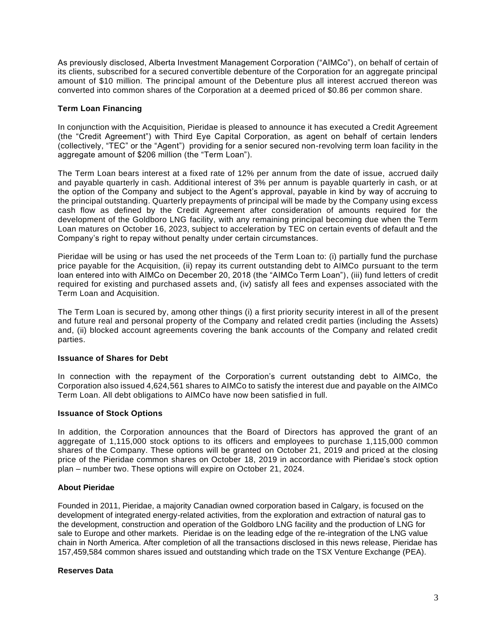As previously disclosed, Alberta Investment Management Corporation ("AIMCo"), on behalf of certain of its clients, subscribed for a secured convertible debenture of the Corporation for an aggregate principal amount of \$10 million. The principal amount of the Debenture plus all interest accrued thereon was converted into common shares of the Corporation at a deemed priced of \$0.86 per common share.

# **Term Loan Financing**

In conjunction with the Acquisition, Pieridae is pleased to announce it has executed a Credit Agreement (the "Credit Agreement") with Third Eye Capital Corporation, as agent on behalf of certain lenders (collectively, "TEC" or the "Agent") providing for a senior secured non-revolving term loan facility in the aggregate amount of \$206 million (the "Term Loan").

The Term Loan bears interest at a fixed rate of 12% per annum from the date of issue, accrued daily and payable quarterly in cash. Additional interest of 3% per annum is payable quarterly in cash, or at the option of the Company and subject to the Agent's approval, payable in kind by way of accruing to the principal outstanding. Quarterly prepayments of principal will be made by the Company using excess cash flow as defined by the Credit Agreement after consideration of amounts required for the development of the Goldboro LNG facility, with any remaining principal becoming due when the Term Loan matures on October 16, 2023, subject to acceleration by TEC on certain events of default and the Company's right to repay without penalty under certain circumstances.

Pieridae will be using or has used the net proceeds of the Term Loan to: (i) partially fund the purchase price payable for the Acquisition, (ii) repay its current outstanding debt to AIMCo pursuant to the term loan entered into with AIMCo on December 20, 2018 (the "AIMCo Term Loan"), (iii) fund letters of credit required for existing and purchased assets and, (iv) satisfy all fees and expenses associated with the Term Loan and Acquisition.

The Term Loan is secured by, among other things (i) a first priority security interest in all of the present and future real and personal property of the Company and related credit parties (including the Assets) and, (ii) blocked account agreements covering the bank accounts of the Company and related credit parties.

#### **Issuance of Shares for Debt**

In connection with the repayment of the Corporation's current outstanding debt to AIMCo, the Corporation also issued 4,624,561 shares to AIMCo to satisfy the interest due and payable on the AIMCo Term Loan. All debt obligations to AIMCo have now been satisfied in full.

#### **Issuance of Stock Options**

In addition, the Corporation announces that the Board of Directors has approved the grant of an aggregate of 1,115,000 stock options to its officers and employees to purchase 1,115,000 common shares of the Company. These options will be granted on October 21, 2019 and priced at the closing price of the Pieridae common shares on October 18, 2019 in accordance with Pieridae's stock option plan – number two. These options will expire on October 21, 2024.

#### **About Pieridae**

Founded in 2011, Pieridae, a majority Canadian owned corporation based in Calgary, is focused on the development of integrated energy-related activities, from the exploration and extraction of natural gas to the development, construction and operation of the Goldboro LNG facility and the production of LNG for sale to Europe and other markets. Pieridae is on the leading edge of the re-integration of the LNG value chain in North America. After completion of all the transactions disclosed in this news release, Pieridae has 157,459,584 common shares issued and outstanding which trade on the TSX Venture Exchange (PEA).

#### **Reserves Data**